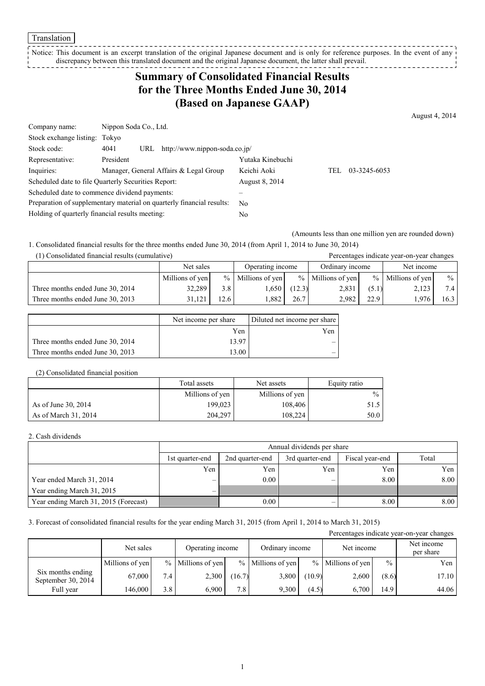Translation

Notice: This document is an excerpt translation of the original Japanese document and is only for reference purposes. In the event of any discrepancy between this translated document and the original Japanese document, the latter shall prevail. \_ \_ \_ \_ \_ \_ \_ \_ \_ \_ \_

## **Summary of Consolidated Financial Results for the Three Months Ended June 30, 2014 (Based on Japanese GAAP)**

August 4, 2014

| Company name:                                                         | Nippon Soda Co., Ltd.                               |                  |      |              |
|-----------------------------------------------------------------------|-----------------------------------------------------|------------------|------|--------------|
| Stock exchange listing: Tokyo                                         |                                                     |                  |      |              |
| Stock code:                                                           | http://www.nippon-soda.co.jp/<br>4041<br>URL        |                  |      |              |
| Representative:                                                       | President                                           | Yutaka Kinebuchi |      |              |
| Inquiries:                                                            | Manager, General Affairs & Legal Group              | Keichi Aoki      | TEL. | 03-3245-6053 |
|                                                                       | Scheduled date to file Quarterly Securities Report: | August 8, 2014   |      |              |
|                                                                       | Scheduled date to commence dividend payments:       |                  |      |              |
| Preparation of supplementary material on quarterly financial results: |                                                     | N <sub>0</sub>   |      |              |
| Holding of quarterly financial results meeting:                       |                                                     | No               |      |              |

(Amounts less than one million yen are rounded down)

1. Consolidated financial results for the three months ended June 30, 2014 (from April 1, 2014 to June 30, 2014) (1) Consolidated financial results (cumulative) Percentages indicate year-on-year changes

| $\left(1\right)$ consonance maintent results (cumulate $\left(0\right)$ |                 |                 |                 |        |                     | I creeninged marente year on year enanged |                      |              |            |  |
|-------------------------------------------------------------------------|-----------------|-----------------|-----------------|--------|---------------------|-------------------------------------------|----------------------|--------------|------------|--|
|                                                                         | Net sales       |                 |                 |        | Operating income    |                                           | Ordinary income      |              | Net income |  |
|                                                                         | Millions of yen | $\frac{0}{0}$ 1 | Millions of yen |        | $%$ Millions of yen |                                           | $\%$ Millions of yen | $\%$         |            |  |
| Three months ended June 30, 2014                                        | 32,289          | 3.8             | .650            | (12.3) | 2,831               | (5.1)                                     | 2,123                | $\mathbf{r}$ |            |  |
| Three months ended June 30, 2013                                        | 31.121          | 12.6            | .882            | 26.7   | 2.982               | 22.9                                      | .976                 | 16.3         |            |  |

|                                  | Net income per share | Diluted net income per share |
|----------------------------------|----------------------|------------------------------|
|                                  | Yen                  | Yen                          |
| Three months ended June 30, 2014 | 13.97                |                              |
| Three months ended June 30, 2013 | 13.00                |                              |

### (2) Consolidated financial position

|                      | Total assets<br>Net assets |                 | Equity ratio  |
|----------------------|----------------------------|-----------------|---------------|
|                      | Millions of yen            | Millions of yen | $\frac{0}{0}$ |
| As of June 30, 2014  | 199,023                    | 108,406         | 51.5          |
| As of March 31, 2014 | 204.297                    | 108.224         | 50.0 I        |

#### 2. Cash dividends

|                                       | Annual dividends per share                                                        |      |     |      |      |  |  |  |
|---------------------------------------|-----------------------------------------------------------------------------------|------|-----|------|------|--|--|--|
|                                       | Total<br>2nd quarter-end<br>3rd quarter-end<br>Fiscal year-end<br>1st quarter-end |      |     |      |      |  |  |  |
|                                       | Yen                                                                               | Yen  | Yen | Yen  | Yen  |  |  |  |
| Year ended March 31, 2014             |                                                                                   | 0.00 |     | 8.00 | 8.00 |  |  |  |
| Year ending March 31, 2015            |                                                                                   |      |     |      |      |  |  |  |
| Year ending March 31, 2015 (Forecast) |                                                                                   | 0.00 |     | 8.00 | 8.00 |  |  |  |

3. Forecast of consolidated financial results for the year ending March 31, 2015 (from April 1, 2014 to March 31, 2015)

| Percentages indicate year-on-year changes |                 |     |                     |        |                     |        |                     |               |                         |
|-------------------------------------------|-----------------|-----|---------------------|--------|---------------------|--------|---------------------|---------------|-------------------------|
|                                           | Net sales       |     | Operating income    |        | Ordinary income     |        | Net income          |               | Net income<br>per share |
|                                           | Millions of yen |     | $%$ Millions of yen |        | $%$ Millions of yen |        | $%$ Millions of yen | $\frac{0}{0}$ | Yen                     |
| Six months ending<br>September 30, 2014   | 67.000          | 7.4 | 2,300               | (16.7) | 3,800               | (10.9) | 2,600               | (8.6)         | 17.10                   |
| Full year                                 | 146.000         | 3.8 | 6.900               | 7.8    | 9,300               | (4.5)  | 6.700               | 14.9          | 44.06                   |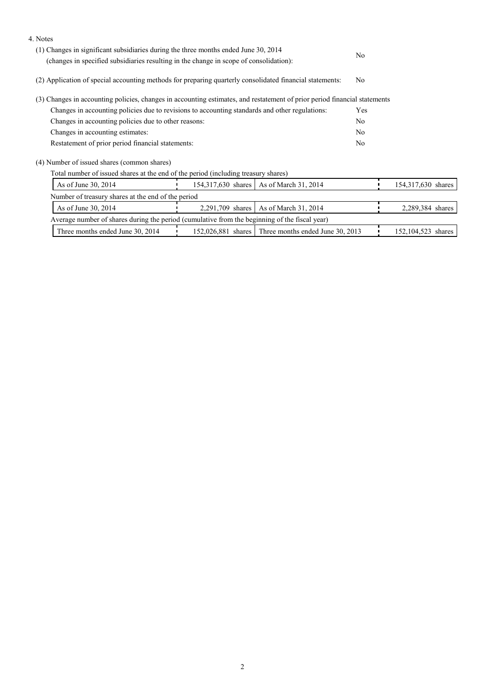| 4. Notes                                                                                                                  |                                                                                        |                                                     |                |                    |
|---------------------------------------------------------------------------------------------------------------------------|----------------------------------------------------------------------------------------|-----------------------------------------------------|----------------|--------------------|
| (1) Changes in significant subsidiaries during the three months ended June 30, 2014                                       | N <sub>0</sub>                                                                         |                                                     |                |                    |
|                                                                                                                           | (changes in specified subsidiaries resulting in the change in scope of consolidation): |                                                     |                |                    |
| (2) Application of special accounting methods for preparing quarterly consolidated financial statements:                  |                                                                                        |                                                     |                |                    |
| (3) Changes in accounting policies, changes in accounting estimates, and restatement of prior period financial statements |                                                                                        |                                                     |                |                    |
| Changes in accounting policies due to revisions to accounting standards and other regulations:                            |                                                                                        |                                                     |                |                    |
| Changes in accounting policies due to other reasons:                                                                      |                                                                                        |                                                     |                |                    |
| Changes in accounting estimates:                                                                                          |                                                                                        |                                                     | N <sub>0</sub> |                    |
| Restatement of prior period financial statements:                                                                         |                                                                                        |                                                     | N <sub>0</sub> |                    |
| (4) Number of issued shares (common shares)                                                                               |                                                                                        |                                                     |                |                    |
| Total number of issued shares at the end of the period (including treasury shares)                                        |                                                                                        |                                                     |                |                    |
| As of June 30, 2014                                                                                                       |                                                                                        | 154,317,630 shares   As of March 31, 2014           |                | 154,317,630 shares |
| Number of treasury shares at the end of the period                                                                        |                                                                                        |                                                     |                |                    |
| As of June 30, 2014                                                                                                       |                                                                                        | 2,291,709 shares   As of March 31, 2014             |                | 2,289,384 shares   |
| Average number of shares during the period (cumulative from the beginning of the fiscal year)                             |                                                                                        |                                                     |                |                    |
| Three months ended June 30, 2014                                                                                          |                                                                                        | 152,026,881 shares Three months ended June 30, 2013 |                | 152,104,523 shares |
|                                                                                                                           |                                                                                        |                                                     |                |                    |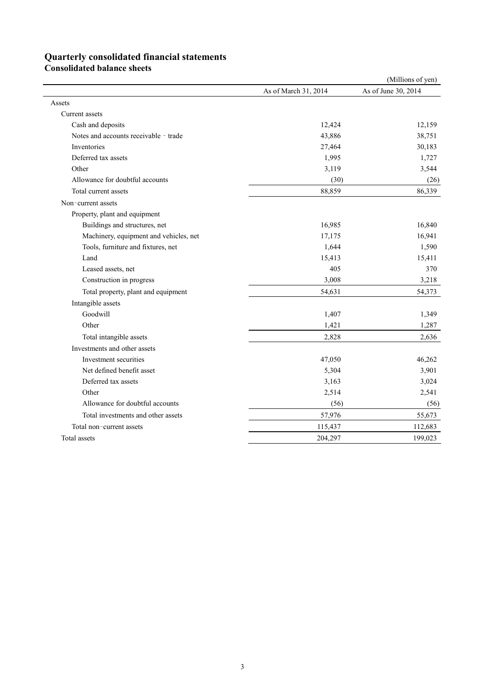# **Quarterly consolidated financial statements**

**Consolidated balance sheets**

|                                        |                      | (Millions of yen)   |
|----------------------------------------|----------------------|---------------------|
|                                        | As of March 31, 2014 | As of June 30, 2014 |
| Assets                                 |                      |                     |
| Current assets                         |                      |                     |
| Cash and deposits                      | 12,424               | 12,159              |
| Notes and accounts receivable - trade  | 43,886               | 38,751              |
| Inventories                            | 27,464               | 30,183              |
| Deferred tax assets                    | 1,995                | 1,727               |
| Other                                  | 3,119                | 3,544               |
| Allowance for doubtful accounts        | (30)                 | (26)                |
| Total current assets                   | 88,859               | 86,339              |
| Non-current assets                     |                      |                     |
| Property, plant and equipment          |                      |                     |
| Buildings and structures, net          | 16,985               | 16,840              |
| Machinery, equipment and vehicles, net | 17,175               | 16,941              |
| Tools, furniture and fixtures, net     | 1,644                | 1,590               |
| Land                                   | 15,413               | 15,411              |
| Leased assets, net                     | 405                  | 370                 |
| Construction in progress               | 3,008                | 3,218               |
| Total property, plant and equipment    | 54,631               | 54,373              |
| Intangible assets                      |                      |                     |
| Goodwill                               | 1,407                | 1,349               |
| Other                                  | 1,421                | 1,287               |
| Total intangible assets                | 2,828                | 2,636               |
| Investments and other assets           |                      |                     |
| Investment securities                  | 47,050               | 46,262              |
| Net defined benefit asset              | 5,304                | 3,901               |
| Deferred tax assets                    | 3,163                | 3,024               |
| Other                                  | 2,514                | 2,541               |
| Allowance for doubtful accounts        | (56)                 | (56)                |
| Total investments and other assets     | 57,976               | 55,673              |
| Total non-current assets               | 115,437              | 112,683             |
| Total assets                           | 204,297              | 199,023             |
|                                        |                      |                     |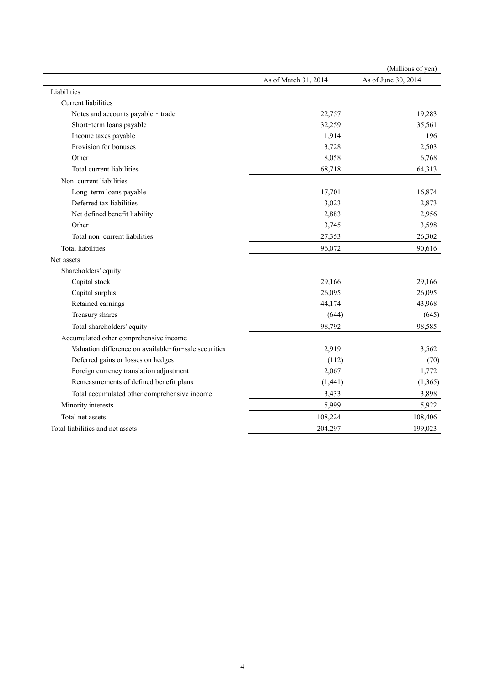|                                                       |                      | (Millions of yen)   |
|-------------------------------------------------------|----------------------|---------------------|
|                                                       | As of March 31, 2014 | As of June 30, 2014 |
| Liabilities                                           |                      |                     |
| <b>Current liabilities</b>                            |                      |                     |
| Notes and accounts payable - trade                    | 22,757               | 19,283              |
| Short-term loans payable                              | 32,259               | 35,561              |
| Income taxes payable                                  | 1,914                | 196                 |
| Provision for bonuses                                 | 3,728                | 2,503               |
| Other                                                 | 8,058                | 6,768               |
| Total current liabilities                             | 68,718               | 64,313              |
| Non-current liabilities                               |                      |                     |
| Long-term loans payable                               | 17,701               | 16,874              |
| Deferred tax liabilities                              | 3,023                | 2,873               |
| Net defined benefit liability                         | 2,883                | 2,956               |
| Other                                                 | 3,745                | 3,598               |
| Total non-current liabilities                         | 27,353               | 26,302              |
| <b>Total liabilities</b>                              | 96,072               | 90,616              |
| Net assets                                            |                      |                     |
| Shareholders' equity                                  |                      |                     |
| Capital stock                                         | 29,166               | 29,166              |
| Capital surplus                                       | 26,095               | 26,095              |
| Retained earnings                                     | 44,174               | 43,968              |
| Treasury shares                                       | (644)                | (645)               |
| Total shareholders' equity                            | 98,792               | 98,585              |
| Accumulated other comprehensive income                |                      |                     |
| Valuation difference on available-for-sale securities | 2,919                | 3,562               |
| Deferred gains or losses on hedges                    | (112)                | (70)                |
| Foreign currency translation adjustment               | 2,067                | 1,772               |
| Remeasurements of defined benefit plans               | (1, 441)             | (1, 365)            |
| Total accumulated other comprehensive income          | 3,433                | 3,898               |
| Minority interests                                    | 5,999                | 5,922               |
| Total net assets                                      | 108,224              | 108,406             |
| Total liabilities and net assets                      | 204,297              | 199,023             |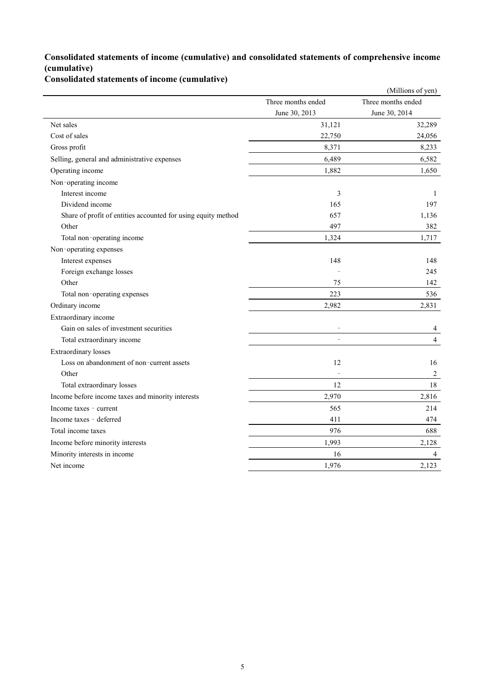### **Consolidated statements of income (cumulative) and consolidated statements of comprehensive income (cumulative)**

**Consolidated statements of income (cumulative)**

|                                                               |                          | (Millions of yen)  |
|---------------------------------------------------------------|--------------------------|--------------------|
|                                                               | Three months ended       | Three months ended |
|                                                               | June 30, 2013            | June 30, 2014      |
| Net sales                                                     | 31,121                   | 32,289             |
| Cost of sales                                                 | 22,750                   | 24,056             |
| Gross profit                                                  | 8,371                    | 8,233              |
| Selling, general and administrative expenses                  | 6,489                    | 6,582              |
| Operating income                                              | 1,882                    | 1,650              |
| Non-operating income                                          |                          |                    |
| Interest income                                               | 3                        | 1                  |
| Dividend income                                               | 165                      | 197                |
| Share of profit of entities accounted for using equity method | 657                      | 1,136              |
| Other                                                         | 497                      | 382                |
| Total non-operating income                                    | 1,324                    | 1,717              |
| Non-operating expenses                                        |                          |                    |
| Interest expenses                                             | 148                      | 148                |
| Foreign exchange losses                                       |                          | 245                |
| Other                                                         | 75                       | 142                |
| Total non-operating expenses                                  | 223                      | 536                |
| Ordinary income                                               | 2,982                    | 2,831              |
| Extraordinary income                                          |                          |                    |
| Gain on sales of investment securities                        |                          | 4                  |
| Total extraordinary income                                    |                          | $\overline{4}$     |
| <b>Extraordinary losses</b>                                   |                          |                    |
| Loss on abandonment of non-current assets                     | 12                       | 16                 |
| Other                                                         | $\overline{\phantom{a}}$ | $\overline{2}$     |
| Total extraordinary losses                                    | 12                       | 18                 |
| Income before income taxes and minority interests             | 2,970                    | 2,816              |
| Income taxes - current                                        | 565                      | 214                |
| Income taxes - deferred                                       | 411                      | 474                |
| Total income taxes                                            | 976                      | 688                |
| Income before minority interests                              | 1,993                    | 2,128              |
| Minority interests in income                                  | 16                       | 4                  |
| Net income                                                    | 1,976                    | 2,123              |
|                                                               |                          |                    |